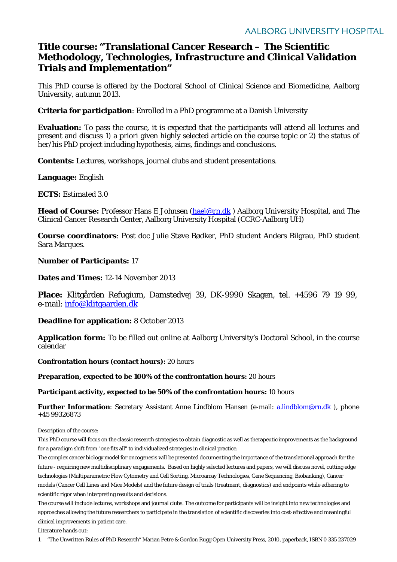# **Title course: "Translational Cancer Research – The Scientific Methodology, Technologies, Infrastructure and Clinical Validation Trials and Implementation"**

This PhD course is offered by the Doctoral School of Clinical Science and Biomedicine, Aalborg University, autumn 2013.

**Criteria for participation**: Enrolled in a PhD programme at a Danish University

**Evaluation:** To pass the course, it is expected that the participants will attend all lectures and present and discuss 1) a priori given highly selected article on the course topic or 2) the status of her/his PhD project including hypothesis, aims, findings and conclusions.

**Contents:** Lectures, workshops, journal clubs and student presentations.

**Language:** English

**ECTS:** Estimated 3.0

**Head of Course:** Professor Hans E Johnsen [\(haej@rn.dk](mailto:haej@rn.dk) ) Aalborg University Hospital, and The Clinical Cancer Research Center, Aalborg University Hospital (CCRC-Aalborg UH)

**Course coordinators**: Post doc Julie Støve Bødker, PhD student Anders Bilgrau, PhD student Sara Marques.

#### **Number of Participants:** 17

**Dates and Times:** 12-14 November 2013

**Place:** Klitgården Refugium, Damstedvej 39, DK-9990 Skagen, tel. +4596 79 19 99, e-mail: [info@klitgaarden.dk](mailto:info@klitgaarden.dk)

#### **Deadline for application:** 8 October 2013

**Application form:** To be filled out online at Aalborg University's Doctoral School, in the course calendar

**Confrontation hours (contact hours):** 20 hours

**Preparation, expected to be 100% of the confrontation hours:** 20 hours

**Participant activity, expected to be 50% of the confrontation hours:** 10 hours

**Further Information**: Secretary Assistant Anne Lindblom Hansen (e-mail: [a.lindblom@rn.dk](mailto:a.lindblom@rn.dk)), phone +45 99326873

Description of the course:

This PhD course will focus on the classic research strategies to obtain diagnostic as well as therapeutic improvements as the background for a paradigm shift from "one fits all" to individualized strategies in clinical practice.

The complex cancer biology model for oncogenesis will be presented documenting the importance of the translational approach for the future - requiring new multidisciplinary engagements. Based on highly selected lectures and papers, we will discuss novel, cutting edge technologies (Multiparametric Flow Cytometry and Cell Sorting, Microarray Technologies, Gene Sequencing, Biobanking), Cancer models (Cancer Cell Lines and Mice Models) and the future design of trials (treatment, diagnostics) and endpoints while adhering to scientific rigor when interpreting results and decisions.

The course will include lectures, workshops and journal clubs. The outcome for participants will be insight into new technologies and approaches allowing the future researchers to participate in the translation of scientific discoveries into cost-effective and meaningful clinical improvements in patient care.

Literature hands out:

1. "The Unwritten Rules of PhD Research" Marian Petre & Gordon Rugg Open University Press, 2010, paperback, ISBN 0 335 237029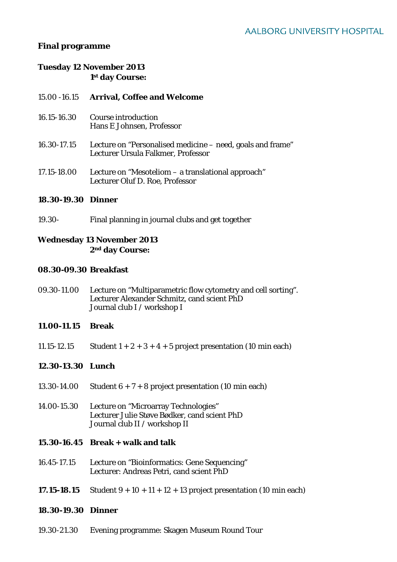# **Final programme**

# **Tuesday 12 November 2013 1st day Course:**

#### 15.00 -16.15 **Arrival, Coffee and Welcome**

- 16.15-16.30 Course introduction Hans E Johnsen, Professor
- 16.30-17.15 Lecture on "Personalised medicine need, goals and frame" Lecturer Ursula Falkmer, Professor
- 17.15-18.00 Lecture on "Mesoteliom a translational approach" Lecturer Oluf D. Roe, Professor

#### **18.30-19.30 Dinner**

19.30- Final planning in journal clubs and get together

# **Wednesday 13 November 2013 2nd day Course:**

#### **08.30-09.30 Breakfast**

09.30-11.00 Lecture on "Multiparametric flow cytometry and cell sorting". Lecturer Alexander Schmitz, cand scient PhD Journal club I / workshop I

### **11.00-11.15 Break**

11.15-12.15 Student  $1 + 2 + 3 + 4 + 5$  project presentation (10 min each)

### **12.30-13.30 Lunch**

- 13.30-14.00 Student  $6 + 7 + 8$  project presentation (10 min each)
- 14.00-15.30 Lecture on "Microarray Technologies" Lecturer Julie Støve Bødker, cand scient PhD Journal club II / workshop II

### **15.30-16.45 Break + walk and talk**

- 16.45-17.15 Lecture on "Bioinformatics: Gene Sequencing" Lecturer: Andreas Petri, cand scient PhD
- **17.15-18.15** Student  $9 + 10 + 11 + 12 + 13$  project presentation (10 min each)

#### **18.30-19.30 Dinner**

19.30-21.30 Evening programme: Skagen Museum Round Tour